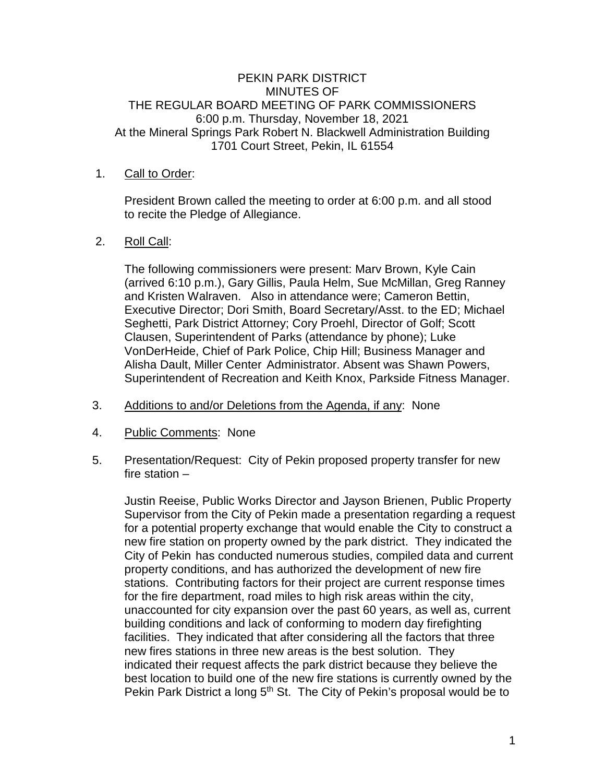# PEKIN PARK DISTRICT MINUTES OF THE REGULAR BOARD MEETING OF PARK COMMISSIONERS 6:00 p.m. Thursday, November 18, 2021 At the Mineral Springs Park Robert N. Blackwell Administration Building 1701 Court Street, Pekin, IL 61554

### 1. Call to Order:

President Brown called the meeting to order at 6:00 p.m. and all stood to recite the Pledge of Allegiance.

# 2. Roll Call:

The following commissioners were present: Marv Brown, Kyle Cain (arrived 6:10 p.m.), Gary Gillis, Paula Helm, Sue McMillan, Greg Ranney and Kristen Walraven. Also in attendance were; Cameron Bettin, Executive Director; Dori Smith, Board Secretary/Asst. to the ED; Michael Seghetti, Park District Attorney; Cory Proehl, Director of Golf; Scott Clausen, Superintendent of Parks (attendance by phone); Luke VonDerHeide, Chief of Park Police, Chip Hill; Business Manager and Alisha Dault, Miller Center Administrator. Absent was Shawn Powers, Superintendent of Recreation and Keith Knox, Parkside Fitness Manager.

- 3. Additions to and/or Deletions from the Agenda, if any: None
- 4. Public Comments: None
- 5. Presentation/Request: City of Pekin proposed property transfer for new fire station –

Justin Reeise, Public Works Director and Jayson Brienen, Public Property Supervisor from the City of Pekin made a presentation regarding a request for a potential property exchange that would enable the City to construct a new fire station on property owned by the park district. They indicated the City of Pekin has conducted numerous studies, compiled data and current property conditions, and has authorized the development of new fire stations. Contributing factors for their project are current response times for the fire department, road miles to high risk areas within the city, unaccounted for city expansion over the past 60 years, as well as, current building conditions and lack of conforming to modern day firefighting facilities. They indicated that after considering all the factors that three new fires stations in three new areas is the best solution. They indicated their request affects the park district because they believe the best location to build one of the new fire stations is currently owned by the Pekin Park District a long 5<sup>th</sup> St. The City of Pekin's proposal would be to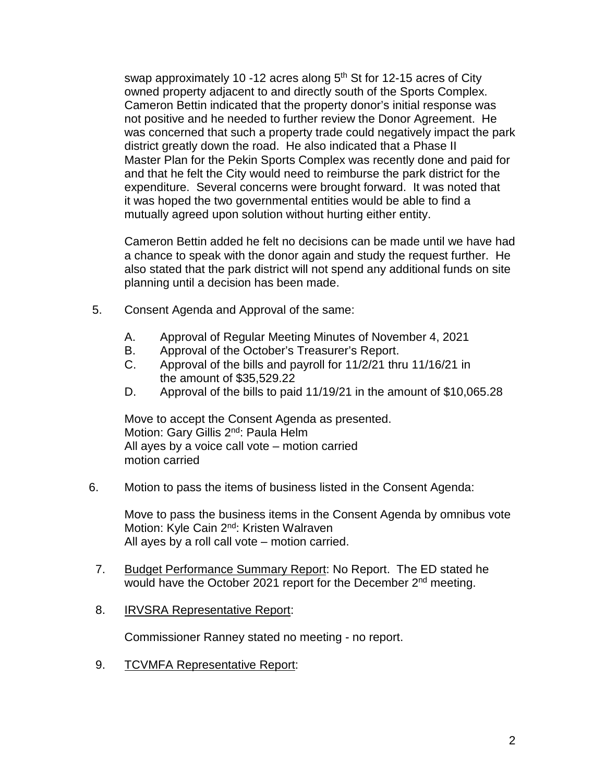swap approximately 10 -12 acres along  $5<sup>th</sup>$  St for 12-15 acres of City owned property adjacent to and directly south of the Sports Complex. Cameron Bettin indicated that the property donor's initial response was not positive and he needed to further review the Donor Agreement. He was concerned that such a property trade could negatively impact the park district greatly down the road. He also indicated that a Phase II Master Plan for the Pekin Sports Complex was recently done and paid for and that he felt the City would need to reimburse the park district for the expenditure. Several concerns were brought forward. It was noted that it was hoped the two governmental entities would be able to find a mutually agreed upon solution without hurting either entity.

Cameron Bettin added he felt no decisions can be made until we have had a chance to speak with the donor again and study the request further. He also stated that the park district will not spend any additional funds on site planning until a decision has been made.

- 5. Consent Agenda and Approval of the same:
	- A. Approval of Regular Meeting Minutes of November 4, 2021
	- B. Approval of the October's Treasurer's Report.
	- C. Approval of the bills and payroll for 11/2/21 thru 11/16/21 in the amount of \$35,529.22
	- D. Approval of the bills to paid 11/19/21 in the amount of \$10,065.28

Move to accept the Consent Agenda as presented. Motion: Gary Gillis 2<sup>nd</sup>: Paula Helm All ayes by a voice call vote – motion carried motion carried

6. Motion to pass the items of business listed in the Consent Agenda:

Move to pass the business items in the Consent Agenda by omnibus vote Motion: Kyle Cain 2<sup>nd</sup>: Kristen Walraven All ayes by a roll call vote – motion carried.

- 7. Budget Performance Summary Report: No Report. The ED stated he would have the October 2021 report for the December 2<sup>nd</sup> meeting.
- 8. IRVSRA Representative Report:

Commissioner Ranney stated no meeting - no report.

9. TCVMFA Representative Report: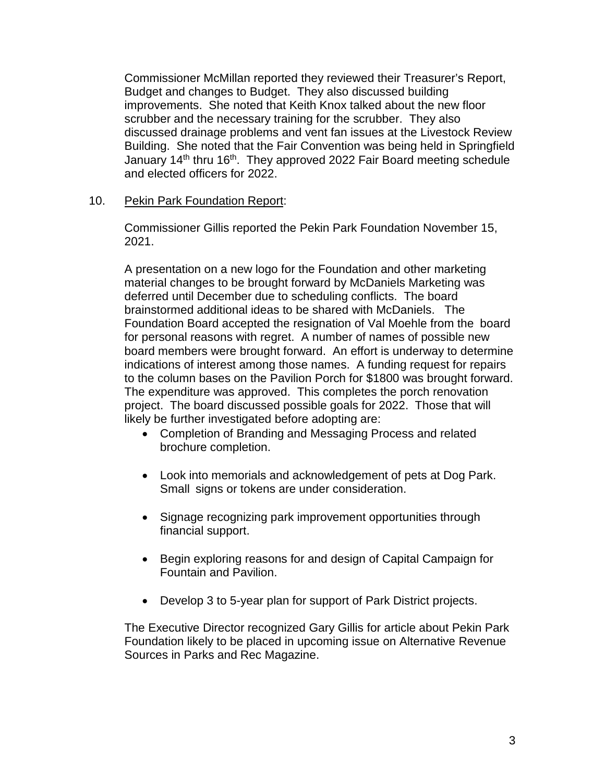Commissioner McMillan reported they reviewed their Treasurer's Report, Budget and changes to Budget. They also discussed building improvements. She noted that Keith Knox talked about the new floor scrubber and the necessary training for the scrubber. They also discussed drainage problems and vent fan issues at the Livestock Review Building. She noted that the Fair Convention was being held in Springfield January 14<sup>th</sup> thru 16<sup>th</sup>. They approved 2022 Fair Board meeting schedule and elected officers for 2022.

### 10. Pekin Park Foundation Report:

Commissioner Gillis reported the Pekin Park Foundation November 15, 2021.

A presentation on a new logo for the Foundation and other marketing material changes to be brought forward by McDaniels Marketing was deferred until December due to scheduling conflicts. The board brainstormed additional ideas to be shared with McDaniels. The Foundation Board accepted the resignation of Val Moehle from the board for personal reasons with regret. A number of names of possible new board members were brought forward. An effort is underway to determine indications of interest among those names. A funding request for repairs to the column bases on the Pavilion Porch for \$1800 was brought forward. The expenditure was approved. This completes the porch renovation project. The board discussed possible goals for 2022. Those that will likely be further investigated before adopting are:

- Completion of Branding and Messaging Process and related brochure completion.
- Look into memorials and acknowledgement of pets at Dog Park. Small signs or tokens are under consideration.
- Signage recognizing park improvement opportunities through financial support.
- Begin exploring reasons for and design of Capital Campaign for Fountain and Pavilion.
- Develop 3 to 5-year plan for support of Park District projects.

The Executive Director recognized Gary Gillis for article about Pekin Park Foundation likely to be placed in upcoming issue on Alternative Revenue Sources in Parks and Rec Magazine.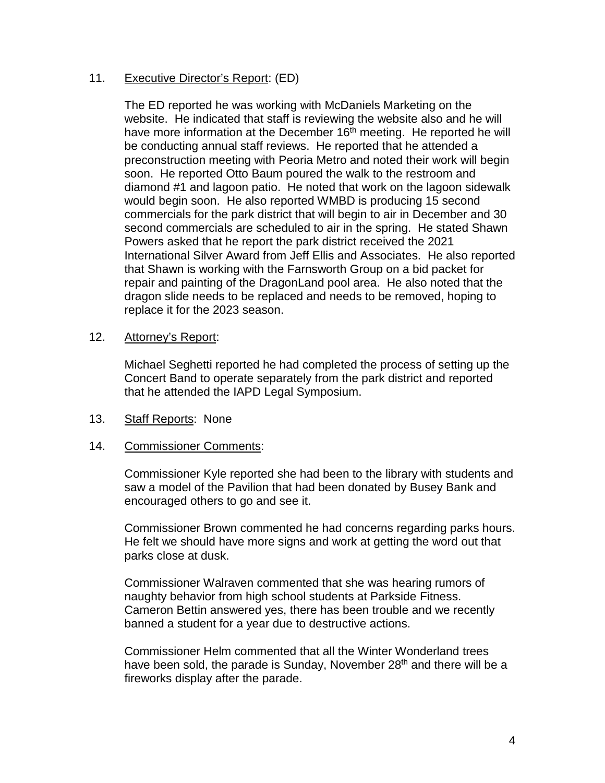# 11. Executive Director's Report: (ED)

The ED reported he was working with McDaniels Marketing on the website. He indicated that staff is reviewing the website also and he will have more information at the December 16<sup>th</sup> meeting. He reported he will be conducting annual staff reviews. He reported that he attended a preconstruction meeting with Peoria Metro and noted their work will begin soon. He reported Otto Baum poured the walk to the restroom and diamond #1 and lagoon patio. He noted that work on the lagoon sidewalk would begin soon. He also reported WMBD is producing 15 second commercials for the park district that will begin to air in December and 30 second commercials are scheduled to air in the spring. He stated Shawn Powers asked that he report the park district received the 2021 International Silver Award from Jeff Ellis and Associates. He also reported that Shawn is working with the Farnsworth Group on a bid packet for repair and painting of the DragonLand pool area. He also noted that the dragon slide needs to be replaced and needs to be removed, hoping to replace it for the 2023 season.

#### 12. Attorney's Report:

Michael Seghetti reported he had completed the process of setting up the Concert Band to operate separately from the park district and reported that he attended the IAPD Legal Symposium.

# 13. Staff Reports: None

# 14. Commissioner Comments:

Commissioner Kyle reported she had been to the library with students and saw a model of the Pavilion that had been donated by Busey Bank and encouraged others to go and see it.

Commissioner Brown commented he had concerns regarding parks hours. He felt we should have more signs and work at getting the word out that parks close at dusk.

Commissioner Walraven commented that she was hearing rumors of naughty behavior from high school students at Parkside Fitness. Cameron Bettin answered yes, there has been trouble and we recently banned a student for a year due to destructive actions.

Commissioner Helm commented that all the Winter Wonderland trees have been sold, the parade is Sunday, November  $28<sup>th</sup>$  and there will be a fireworks display after the parade.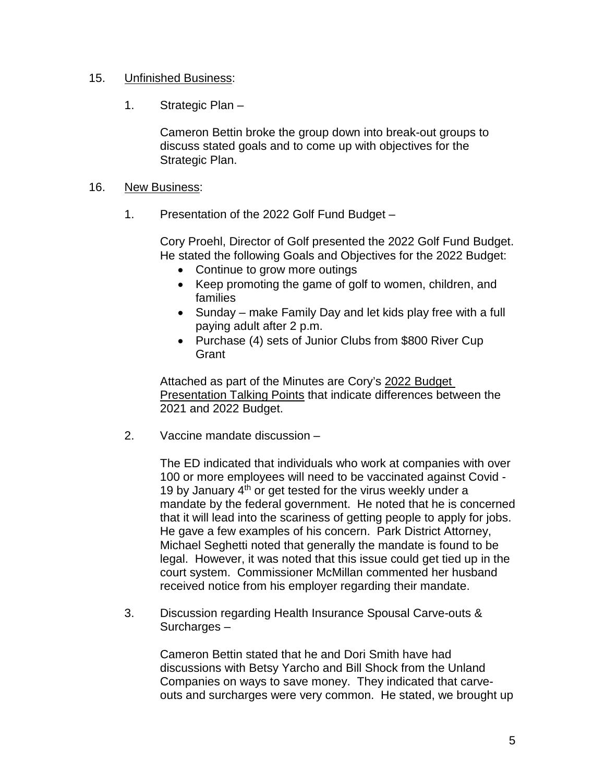# 15. Unfinished Business:

1. Strategic Plan –

Cameron Bettin broke the group down into break-out groups to discuss stated goals and to come up with objectives for the Strategic Plan.

### 16. New Business:

1. Presentation of the 2022 Golf Fund Budget –

Cory Proehl, Director of Golf presented the 2022 Golf Fund Budget. He stated the following Goals and Objectives for the 2022 Budget:

- Continue to grow more outings
- Keep promoting the game of golf to women, children, and families
- Sunday make Family Day and let kids play free with a full paying adult after 2 p.m.
- Purchase (4) sets of Junior Clubs from \$800 River Cup **Grant**

Attached as part of the Minutes are Cory's 2022 Budget Presentation Talking Points that indicate differences between the 2021 and 2022 Budget.

2. Vaccine mandate discussion –

The ED indicated that individuals who work at companies with over 100 or more employees will need to be vaccinated against Covid - 19 by January  $4<sup>th</sup>$  or get tested for the virus weekly under a mandate by the federal government. He noted that he is concerned that it will lead into the scariness of getting people to apply for jobs. He gave a few examples of his concern. Park District Attorney, Michael Seghetti noted that generally the mandate is found to be legal. However, it was noted that this issue could get tied up in the court system. Commissioner McMillan commented her husband received notice from his employer regarding their mandate.

3. Discussion regarding Health Insurance Spousal Carve-outs & Surcharges –

Cameron Bettin stated that he and Dori Smith have had discussions with Betsy Yarcho and Bill Shock from the Unland Companies on ways to save money. They indicated that carveouts and surcharges were very common. He stated, we brought up